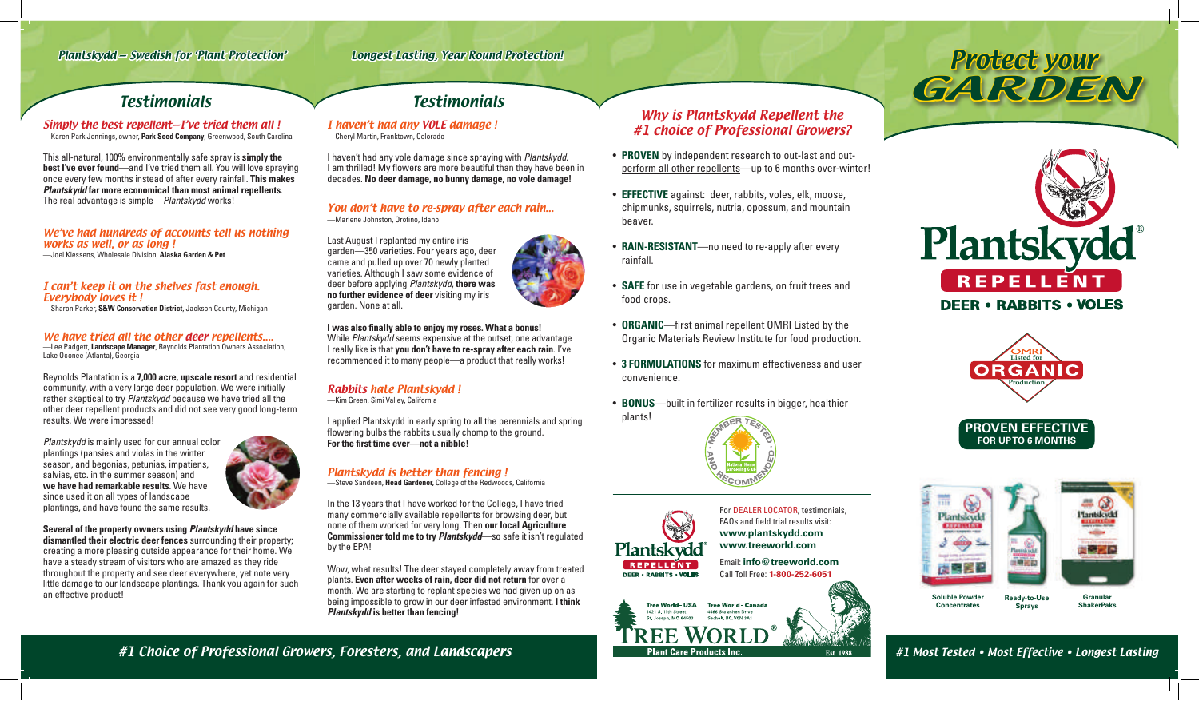**Concentrates**



**Sprays** 

**ShakerPaks**

I haven't had any VOLE damage ! —Cheryl Martin, Franktown, Colorado

#### You don't have to re-spray after each rain... —Marlene Johnston, Orofino, Idaho

I haven't had any vole damage since spraying with *Plantskydd*. I am thrilled! My flowers are more beautiful than they have been in decades. **No deer damage, no bunny damage, no vole damage!**

Last August I replanted my entire iris garden—350 varieties. Four years ago, deer came and pulled up over 70 newly planted varieties. Although I saw some evidence of deer before applying *Plantskydd*, **there was no further evidence of deer** visiting my iris garden. None at all.

**I was also finally able to enjoy my roses. What a bonus!**  While *Plantskydd* seems expensive at the outset, one advantage I really like is that **you don't have to re-spray after each rain**. I've recommended it to many people—a product that really works!

# Rabbits hate Plantskydd !

—Kim Green, Simi Valley, California

I applied Plantskydd in early spring to all the perennials and spring flowering bulbs the rabbits usually chomp to the ground. **For the first time ever—not a nibble!**

# Plantskydd is better than fencing !

—Steve Sandeen, **Head Gardener,** College of the Redwoods, California

In the 13 years that I have worked for the College, I have tried many commercially available repellents for browsing deer, but none of them worked for very long. Then **our local Agriculture Commissioner told me to try** *Plantskydd*—so safe it isn't regulated by the EPA!

Wow, what results! The deer stayed completely away from treated plants. **Even after weeks of rain, deer did not return** for over a month. We are starting to replant species we had given up on as being impossible to grow in our deer infested environment. **I think**  *Plantskydd* **is better than fencing!**

Simply the best repellent—I've tried them all ! —Karen Park Jennings, owner, **Park Seed Company**, Greenwood, South Carolina

This all-natural, 100% environmentally safe spray is **simply the best I've ever found**—and I've tried them all. You will love spraying once every few months instead of after every rainfall. **This makes**  *Plantskydd* **far more economical than most animal repellents**. The real advantage is simple—*Plantskydd* works!

### We've had hundreds of accounts tell us nothing works as well, or as long !

—Joel Klessens, Wholesale Division, **Alaska Garden & Pet**

## I can't keep it on the shelves fast enough. Everybody loves it !

—Sharon Parker, **S&W Conservation District**, Jackson County, Michigan

### We have tried all the other deer repellents....

—Lee Padgett, **Landscape Manager**, Reynolds Plantation Owners Association, Lake Oconee (Atlanta), Georgia

Reynolds Plantation is a **7,000 acre, upscale resort** and residential community, with a very large deer population. We were initially rather skeptical to try *Plantskydd* because we have tried all the other deer repellent products and did not see very good long-term results. We were impressed!

*Plantskydd* is mainly used for our annual color plantings (pansies and violas in the winter season, and begonias, petunias, impatiens, salvias, etc. in the summer season) and **we have had remarkable results**. We have since used it on all types of landscape plantings, and have found the same results.



**Several of the property owners using** *Plantskydd* **have since dismantled their electric deer fences** surrounding their property; creating a more pleasing outside appearance for their home. We have a steady stream of visitors who are amazed as they ride throughout the property and see deer everywhere, yet note very little damage to our landscape plantings. Thank you again for such an effective product!

For DEALER LOCATOR, testimonials, FAQs and field trial results visit: **www.plantskydd.com www.treeworld.com**

Email: **info@treeworld.com** Call Toll Free: **1-800-252-6051**



# Plantskydd — Swedish for 'Plant Protection' Longest Lasting, Year Round Protection!

# Testimonials Testimonials



#1 Most Tested • Most Effective • Longest Lasting



# Why is Plantskydd Repellent the #1 choice of Professional Growers?

- **PROVEN** by independent research to out-last and outperform all other repellents—up to 6 months over-winter!
- **EFFECTIVE** against: deer, rabbits, voles, elk, moose, chipmunks, squirrels, nutria, opossum, and mountain beaver.
- **RAIN-RESISTANT**—no need to re-apply after every rainfall.
- **SAFE** for use in vegetable gardens, on fruit trees and food crops.
- **ORGANIC**—first animal repellent OMRI Listed by the Organic Materials Review Institute for food production.
- **3 FORMULATIONS** for maximum effectiveness and user convenience.
- **BONUS**—built in fertilizer results in bigger, healthier plants!

Plantskydd

REPELLENT **DEER · RABBITS · VOLES** 







# #1 Choice of Professional Growers, Foresters, and Landscapers